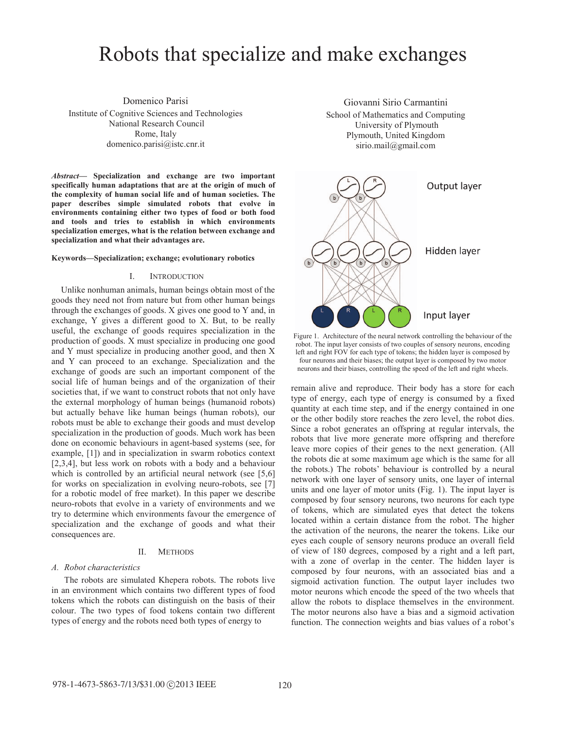# Robots that specialize and make exchanges

Domenico Parisi Institute of Cognitive Sciences and Technologies National Research Council Rome, Italy domenico.parisi@istc.cnr.it

Abstract— Specialization and exchange are two important specifically human adaptations that are at the origin of much of the complexity of human social life and of human societies. The **paper describes simple simulated robots that evolve in environments containing either two types of fo food or both food**  and tools and tries to establish in which environments specialization emerges, what is the relation between exchange and **specialization and what their advantages are.** 

#### Keywords-Specialization; exchange; evolutionary robotics

#### I. INTRODUCTION

Unlike nonhuman animals, human beings obtain most of the goods they need not from nature but from oth her human beings through the exchanges of goods. X gives one g good to Y and, in exchange, Y gives a different good to X. But, to be really useful, the exchange of goods requires specialization in the production of goods. X must specialize in producing one good and Y must specialize in producing another g good, and then X and Y can proceed to an exchange. Specialization and the exchange of goods are such an important component of the social life of human beings and of the organization of their societies that, if we want to construct robots that not only have the external morphology of human beings (h humanoid robots) but actually behave like human beings (human robots), our robots must be able to exchange their goods and must develop specialization in the production of goods. Much work has been done on economic behaviours in agent-based systems (see, for example, [1]) and in specialization in swarm robotics context [2,3,4], but less work on robots with a body and a behaviour which is controlled by an artificial neural network (see  $[5,6]$ ) for works on specialization in evolving neuro-robots, see [7] for a robotic model of free market). In this paper we describe neuro-robots that evolve in a variety of environments and we try to determine which environments favour the emergence of specialization and the exchange of goods and what their consequences are.

#### II. METHODS

# *A. Robot characteristics*

The robots are simulated Khepera robots. . The robots live in an environment which contains two different types of food tokens which the robots can distinguish on the basis of their colour. The two types of food tokens contain two different types of energy and the robots need both types s of energy to

Giovanni Sirio Carmantini School of Mathematics and Computing University of Plymouth Plymouth, United K Kingdom sirio.mail@gmail.com



Figure 1. Architecture of the neural network k controlling the behaviour of the robot. The input layer consists of two coup les of sensory neurons, encoding left and right FOV for each type of tokens; the hidden layer is composed by four neurons and their biases; the output l layer is composed by two motor neurons and their biases, controlling the speed of the left and right wheels.

remain alive and reproduce. Their body has a store for each type of energy, each type of energy is consumed by a fixed quantity at each time step, and if th he energy contained in one or the other bodily store reaches the zero level, the robot dies. Since a robot generates an offspring at regular intervals, the robots that live more generate more offspring and therefore leave more copies of their genes to the next generation. (All the robots die at some maximum ag ge which is the same for all the robots.) The robots' behaviour is controlled by a neural network with one layer of sensory units, one layer of internal units and one layer of motor units (Fig. 1). The input layer is composed by four sensory neurons, , two neurons for each type of tokens, which are simulated eyes that detect the tokens located within a certain distance from the robot. The higher the activation of the neurons, the n nearer the tokens. Like our eyes each couple of sensory neurons produce an overall field of view of 180 degrees, composed by a right and a left part, with a zone of overlap in the center. The hidden layer is composed by four neurons, with an associated bias and a sigmoid activation function. The output layer includes two motor neurons which encode the sp peed of the two wheels that allow the robots to displace themselves in the environment. The motor neurons also have a bias and a sigmoid activation function. The connection weights and bias values of a robot's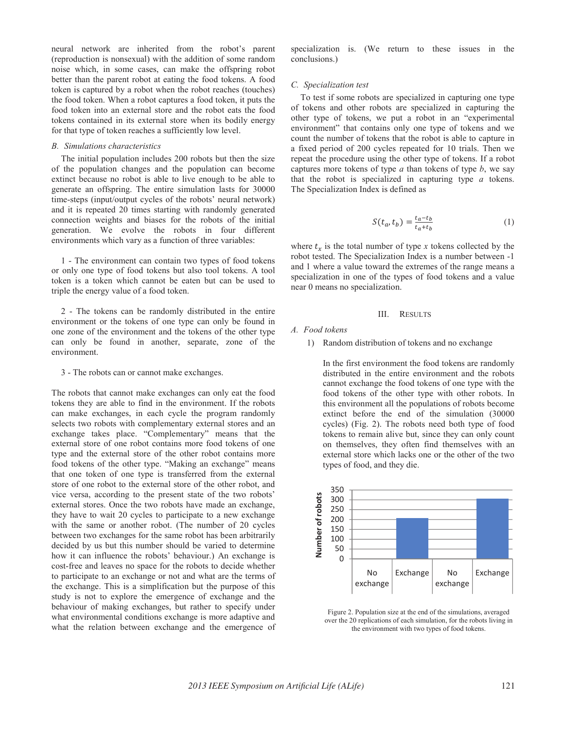neural network are inherited from the robot's parent (reproduction is nonsexual) with the addition of some random noise which, in some cases, can make the offspring robot better than the parent robot at eating the food tokens. A food token is captured by a robot when the robot reaches (touches) the food token. When a robot captures a food token, it puts the food token into an external store and the robot eats the food tokens contained in its external store when its bodily energy for that type of token reaches a sufficiently low level.

# *B. Simulations characteristics*

The initial population includes 200 robots but then the size of the population changes and the population can become extinct because no robot is able to live enough to be able to generate an offspring. The entire simulation lasts for 30000 time-steps (input/output cycles of the robots' neural network) and it is repeated 20 times starting with randomly generated connection weights and biases for the robots of the initial generation. We evolve the robots in four different environments which vary as a function of three variables:

1 - The environment can contain two types of food tokens or only one type of food tokens but also tool tokens. A tool token is a token which cannot be eaten but can be used to triple the energy value of a food token.

2 - The tokens can be randomly distributed in the entire environment or the tokens of one type can only be found in one zone of the environment and the tokens of the other type can only be found in another, separate, zone of the environment.

3 - The robots can or cannot make exchanges.

The robots that cannot make exchanges can only eat the food tokens they are able to find in the environment. If the robots can make exchanges, in each cycle the program randomly selects two robots with complementary external stores and an exchange takes place. "Complementary" means that the external store of one robot contains more food tokens of one type and the external store of the other robot contains more food tokens of the other type. "Making an exchange" means that one token of one type is transferred from the external store of one robot to the external store of the other robot, and vice versa, according to the present state of the two robots' external stores. Once the two robots have made an exchange, they have to wait 20 cycles to participate to a new exchange with the same or another robot. (The number of 20 cycles between two exchanges for the same robot has been arbitrarily decided by us but this number should be varied to determine how it can influence the robots' behaviour.) An exchange is cost-free and leaves no space for the robots to decide whether to participate to an exchange or not and what are the terms of the exchange. This is a simplification but the purpose of this study is not to explore the emergence of exchange and the behaviour of making exchanges, but rather to specify under what environmental conditions exchange is more adaptive and what the relation between exchange and the emergence of specialization is. (We return to these issues in the conclusions.)

### *C. Specialization test*

To test if some robots are specialized in capturing one type of tokens and other robots are specialized in capturing the other type of tokens, we put a robot in an "experimental environment" that contains only one type of tokens and we count the number of tokens that the robot is able to capture in a fixed period of 200 cycles repeated for 10 trials. Then we repeat the procedure using the other type of tokens. If a robot captures more tokens of type *a* than tokens of type *b*, we say that the robot is specialized in capturing type *a* tokens. The Specialization Index is defined as

$$
S(t_a, t_b) = \frac{t_a - t_b}{t_a + t_b} \tag{1}
$$

where  $t_x$  is the total number of type *x* tokens collected by the robot tested. The Specialization Index is a number between -1 and 1 where a value toward the extremes of the range means a specialization in one of the types of food tokens and a value near 0 means no specialization.

#### III. RESULTS

#### *A. Food tokens*

1) Random distribution of tokens and no exchange

In the first environment the food tokens are randomly distributed in the entire environment and the robots cannot exchange the food tokens of one type with the food tokens of the other type with other robots. In this environment all the populations of robots become extinct before the end of the simulation (30000 cycles) (Fig. 2). The robots need both type of food tokens to remain alive but, since they can only count on themselves, they often find themselves with an external store which lacks one or the other of the two types of food, and they die.



Figure 2. Population size at the end of the simulations, averaged over the 20 replications of each simulation, for the robots living in the environment with two types of food tokens.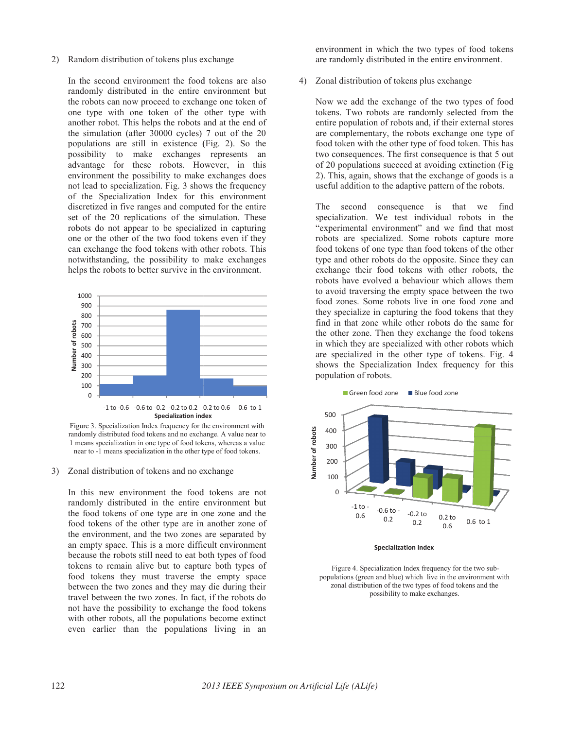# 2) Random distribution of tokens plus e xchange

In the second environment the food d tokens are also randomly distributed in the entire environment but the robots can now proceed to exchange one token of one type with one token of the other type with another robot. This helps the robots and at the end of the simulation (after 30000 cycles) 7 out of the 20 populations are still in existence ( (Fig. 2). So the possibility to make exchanges represents an advantage for these robots. However, in this environment the possibility to make exchanges does not lead to specialization. Fig. 3 shows the frequency of the Specialization Index for th his environment discretized in five ranges and computed for the entire set of the 20 replications of the simulation. These robots do not appear to be speciali zed in capturing one or the other of the two food tok kens even if they can exchange the food tokens with other robots. This notwithstanding, the possibility to make exchanges helps the robots to better survive in the environment.



Figure 3. Specialization Index frequency for the environment with randomly distributed food tokens and no exchange. A value near to 1 means specialization in one type of food tok kens, whereas a value near to -1 means specialization in the other t type of food tokens.

# 3) Zonal distribution of tokens and no ex xchange

In this new environment the food d tokens are not randomly distributed in the entire environment but the food tokens of one type are in one zone and the food tokens of the other type are in another zone of the environment, and the two zones are separated by an empty space. This is a more difficult environment because the robots still need to eat both types of food tokens to remain alive but to capture both types of food tokens they must traverse th he empty space between the two zones and they may die during their travel between the two zones. In fact, if the robots do not have the possibility to exchange the food tokens with other robots, all the populations become extinct even earlier than the populations living in an environment in which the two types of food tokens are randomly distributed in the entire environment.

4) Zonal distribution of tokens plus exchange

Now we add the exchang e of the two types of food tokens. Two robots are randomly selected from the entire population of robots and, if their external stores are complementary, the robots exchange one type of food token with the other type of food token. This has two consequences. The first consequence is that 5 out of 20 populations succeed at avoiding extinction (Fig 2). This, again, shows that the exchange of goods is a useful addition to the adaptive pattern of the robots.

The second consequence is that we find specialization. We test individual robots in the "experimental environment" and we find that most robots are specialized. S Some robots capture more food tokens of one type than food tokens of the other type and other robots do the opposite. Since they can exchange their food tokens with other robots, the robots have evolved a beh haviour which allows them to avoid traversing the empty space between the two food zones. Some robots live in one food zone and they specialize in capturing the food tokens that they find in that zone while oth her robots do the same for the other zone. Then they exchange the food tokens in which they are specialized with other robots which are specialized in the oth her type of tokens. Fig. 4 shows the Specialization Index frequency for this population of robots.

> Green food zone **Blue food zone**



**Specialization n index**

 Figure 4. Specialization Ind ex frequency for the two subpopulations (green and blue) wh hich live in the environment with zonal distribution of the two types of food tokens and the possibility to make exchanges.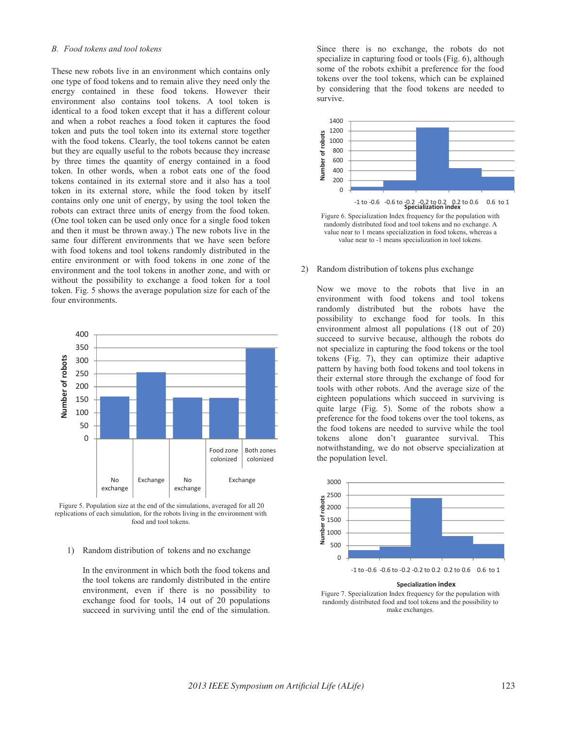# *B. Food tokens and tool tokens*

These new robots live in an environment which contains only one type of food tokens and to remain alive they need only the energy contained in these food tokens. However their environment also contains tool tokens. A tool token is identical to a food token except that it has a different colour and when a robot reaches a food token it captures the food token and puts the tool token into its external store together with the food tokens. Clearly, the tool tokens cannot be eaten but they are equally useful to the robots because they increase by three times the quantity of energy contained in a food token. In other words, when a robot eats one of the food tokens contained in its external store and it also has a tool token in its external store, while the food token by itself contains only one unit of energy, by using the tool token the robots can extract three units of energy from the food token. (One tool token can be used only once for a single food token and then it must be thrown away.) The new robots live in the same four different environments that we have seen before with food tokens and tool tokens randomly distributed in the entire environment or with food tokens in one zone of the environment and the tool tokens in another zone, and with or without the possibility to exchange a food token for a tool token. Fig. 5 shows the average population size for each of the four environments.



 Figure 5. Population size at the end of the simulations, averaged for all 20 replications of each simulation, for the robots living in the environment with food and tool tokens.

#### 1) Random distribution of tokens and no exchange

In the environment in which both the food tokens and the tool tokens are randomly distributed in the entire environment, even if there is no possibility to exchange food for tools, 14 out of 20 populations succeed in surviving until the end of the simulation. Since there is no exchange, the robots do not specialize in capturing food or tools (Fig. 6), although some of the robots exhibit a preference for the food tokens over the tool tokens, which can be explained by considering that the food tokens are needed to survive.



Figure 6. Specialization Index frequency for the population with randomly distributed food and tool tokens and no exchange. A value near to 1 means specialization in food tokens, whereas a value near to -1 means specialization in tool tokens.

2) Random distribution of tokens plus exchange

Now we move to the robots that live in an environment with food tokens and tool tokens randomly distributed but the robots have the possibility to exchange food for tools. In this environment almost all populations (18 out of 20) succeed to survive because, although the robots do not specialize in capturing the food tokens or the tool tokens (Fig. 7), they can optimize their adaptive pattern by having both food tokens and tool tokens in their external store through the exchange of food for tools with other robots. And the average size of the eighteen populations which succeed in surviving is quite large (Fig. 5). Some of the robots show a preference for the food tokens over the tool tokens, as the food tokens are needed to survive while the tool tokens alone don't guarantee survival. This notwithstanding, we do not observe specialization at the population level.



#### **Specialization index**

Figure 7. Specialization Index frequency for the population with randomly distributed food and tool tokens and the possibility to make exchanges.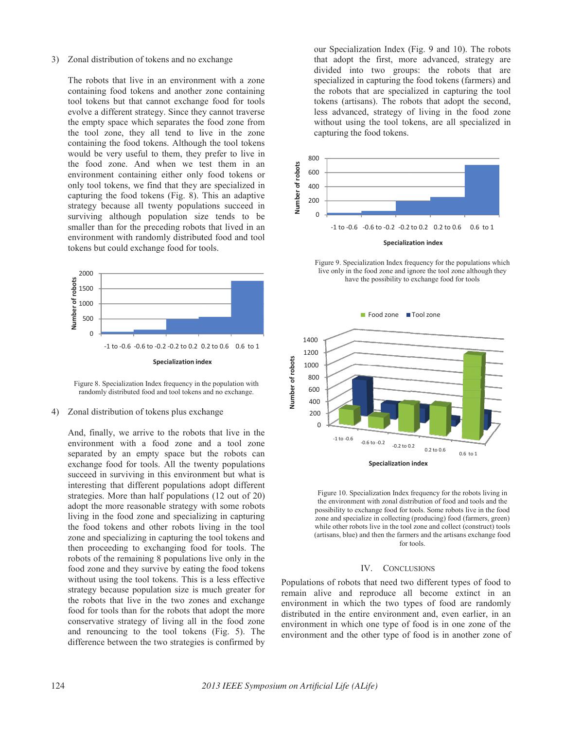# 3) Zonal distribution of tokens and no ex xchange

The robots that live in an environm ment with a zone containing food tokens and another zone containing tool tokens but that cannot exchang ge food for tools evolve a different strategy. Since they cannot traverse the empty space which separates the food zone from the tool zone, they all tend to live in the zone containing the food tokens. Although the tool tokens would be very useful to them, they prefer to live in the food zone. And when we test them in an environment containing either only food tokens or only tool tokens, we find that they are specialized in capturing the food tokens (Fig. 8). This an adaptive strategy because all twenty populations succeed in surviving although population size tends to be smaller than for the preceding robots that lived in an environment with randomly distributed food and tool tokens but could exchange food for tools.



Figure 8. Specialization Index frequency in the population with randomly distributed food and tool tokens and no exchange.

### 4) Zonal distribution of tokens plus exch hange

And, finally, we arrive to the robots that live in the environment with a food zone and a tool zone separated by an empty space but the robots can exchange food for tools. All the twenty populations succeed in surviving in this environment but what is interesting that different populations s adopt different strategies. More than half populations  $(12 \text{ out of } 20)$ adopt the more reasonable strategy with some robots living in the food zone and specializing in capturing the food tokens and other robots li iving in the tool zone and specializing in capturing the tool tokens and then proceeding to exchanging foo d for tools. The robots of the remaining 8 populations live only in the food zone and they survive by eating the food tokens without using the tool tokens. This is a less effective strategy because population size is much greater for the robots that live in the two zones and exchange food for tools than for the robots that adopt the more conservative strategy of living all i in the food zone and renouncing to the tool tokens (Fig. 5). The difference between the two strategies is confirmed by

our Specialization Index ( (Fig. 9 and 10). The robots that adopt the first, more advanced, strategy are divided into two groups: the robots that are specialized in capturing the food tokens (farmers) and the robots that are specialized in capturing the tool tokens (artisans). The robots that adopt the second, less advanced, strategy of living in the food zone without using the tool tokens, are all specialized in capturing the food tokens.



Figure 9. Specialization Index frequency for the populations which live only in the food zone and ignore the tool zone although they have the possibility to exchange food for tools



Figure 10. Specialization Index frequency for the robots living in the environment with zonal distribution of food and tools and the possibility to exchange food for tools. Some robots live in the food zone and specialize in collecting (producing) food (farmers, green) while other robots live in the tool zone and collect (construct) tools (artisans, blue) and then the farm ers and the artisans exchange food for t tools.

### IV. CONCLUSIONS

Populations of robots that need two different types of food to remain alive and reproduce all become extinct in an environment in which the two types of food are randomly distributed in the entire environment and, even earlier, in an environment in which one type of food is in one zone of the environment and the other type of food is in another zone of